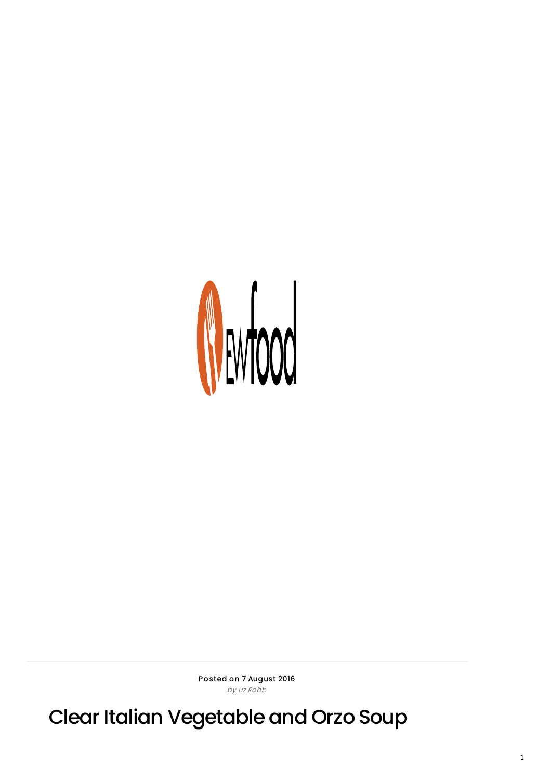

Posted on 7 August 2016 by Liz Robb

Clear Italian Vegetable and Orzo Soup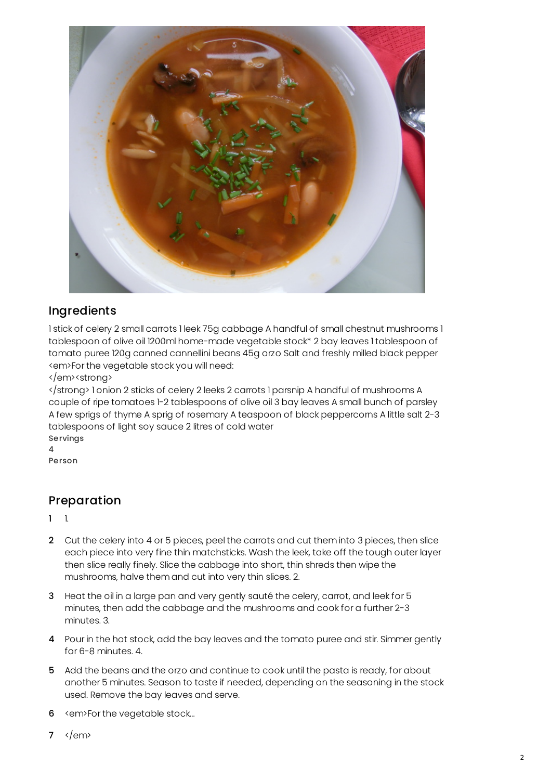

## Ingredients

1 stick of celery 2 small carrots 1 leek 75g cabbage A handful of small chestnut mushrooms 1 tablespoon of olive oil 1200ml home-made vegetable stock\* 2 bay leaves 1 tablespoon of tomato puree 120g canned cannellini beans 45g orzo Salt and freshly milled black pepper <em>For the vegetable stock you will need:

</em><strong>

</strong> 1 onion 2 sticks of celery 2 leeks 2 carrots 1 parsnip A handful of mushrooms A couple of ripe tomatoes 1-2 tablespoons of olive oil 3 bay leaves A small bunch of parsley A few sprigs of thyme A sprig of rosemary A teaspoon of black peppercorns A little salt 2-3 tablespoons of light soy sauce 2 litres of cold water Servings

4

Person

## Preparation

1 1.

- 2 Cut the celery into 4 or 5 pieces, peel the carrots and cut them into 3 pieces, then slice each piece into very fine thin matchsticks. Wash the leek, take off the tough outer layer then slice really finely. Slice the cabbage into short, thin shreds then wipe the mushrooms, halve them and cut into very thin slices. 2.
- 3 Heat the oil in a large pan and very gently sauté the celery, carrot, and leek for 5 minutes, then add the cabbage and the mushrooms and cook for a further 2-3 minutes. 3.
- 4 Pour in the hot stock, add the bay leaves and the tomato puree and stir. Simmer gently for 6-8 minutes. 4.
- 5 Add the beans and the orzo and continue to cook until the pasta is ready, for about another 5 minutes. Season to taste if needed, depending on the seasoning in the stock used. Remove the bay leaves and serve.
- 6 <em>For the vegetable stock...
- $7 \times / \text{em}$